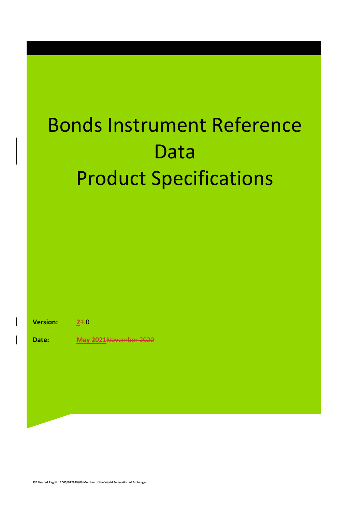### Bonds Instrument Reference Data Product Specifications

**Version: 2**1.0

**Date: May 2021**November 2020

**JSE Limited Reg No: 2005/022939/06 Member of the World Federation of Exchanges**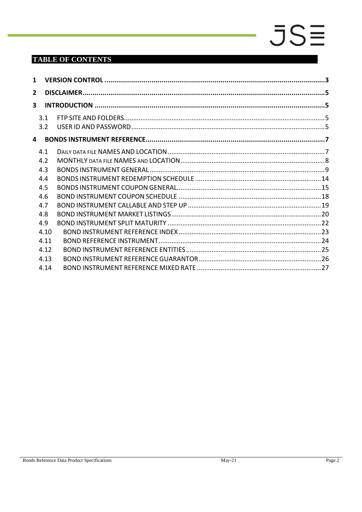#### **TABLE OF CONTENTS**

| 3.1  |  |
|------|--|
| 3.2  |  |
|      |  |
| 4.1  |  |
| 4.2  |  |
| 4.3  |  |
| 4.4  |  |
| 4.5  |  |
| 4.6  |  |
| 4.7  |  |
| 4.8  |  |
| 4.9  |  |
| 4.10 |  |
| 4.11 |  |
| 4.12 |  |
| 4.13 |  |
| 4.14 |  |
|      |  |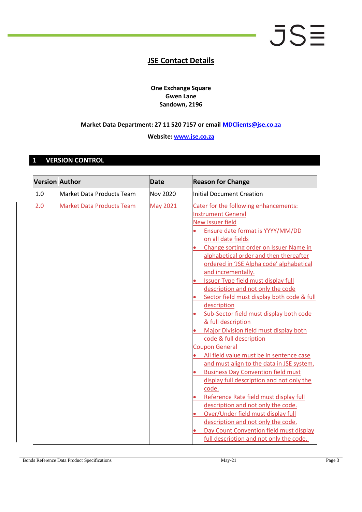#### **JSE Contact Details**

**One Exchange Square Gwen Lane Sandown, 2196**

#### **Market Data Department: 27 11 520 7157 or email [MDClients@jse.co.za](mailto:MDClients@jse.co.za)**

**Website: [www.jse.co.za](http://www.jse.co.za/)**

#### <span id="page-2-0"></span>**1 VERSION CONTROL**

| <b>Version Author</b> |                                  | <b>Date</b>     | <b>Reason for Change</b>                                                                                                                                                                                                                                                                                                                                                                                                                                                                                                                                                                                                                                                                                                                                                                                                                                                                                                                                                             |
|-----------------------|----------------------------------|-----------------|--------------------------------------------------------------------------------------------------------------------------------------------------------------------------------------------------------------------------------------------------------------------------------------------------------------------------------------------------------------------------------------------------------------------------------------------------------------------------------------------------------------------------------------------------------------------------------------------------------------------------------------------------------------------------------------------------------------------------------------------------------------------------------------------------------------------------------------------------------------------------------------------------------------------------------------------------------------------------------------|
| 1.0                   | <b>Market Data Products Team</b> | <b>Nov 2020</b> | <b>Initial Document Creation</b>                                                                                                                                                                                                                                                                                                                                                                                                                                                                                                                                                                                                                                                                                                                                                                                                                                                                                                                                                     |
| 2.0                   | <b>Market Data Products Team</b> | <b>May 2021</b> | Cater for the following enhancements:<br><b>Instrument General</b><br><b>New Issuer field</b><br>Ensure date format is YYYY/MM/DD<br>on all date fields<br>Change sorting order on Issuer Name in<br>alphabetical order and then thereafter<br>ordered in 'JSE Alpha code' alphabetical<br>and incrementally.<br><b>Issuer Type field must display full</b><br>description and not only the code<br>Sector field must display both code & full<br>description<br>Sub-Sector field must display both code<br>& full description<br>Major Division field must display both<br>code & full description<br><b>Coupon General</b><br>All field value must be in sentence case<br>and must align to the data in JSE system.<br><b>Business Day Convention field must</b><br>display full description and not only the<br>code.<br>Reference Rate field must display full<br>description and not only the code.<br>Over/Under field must display full<br>description and not only the code. |
|                       |                                  |                 | Day Count Convention field must display<br>full description and not only the code.                                                                                                                                                                                                                                                                                                                                                                                                                                                                                                                                                                                                                                                                                                                                                                                                                                                                                                   |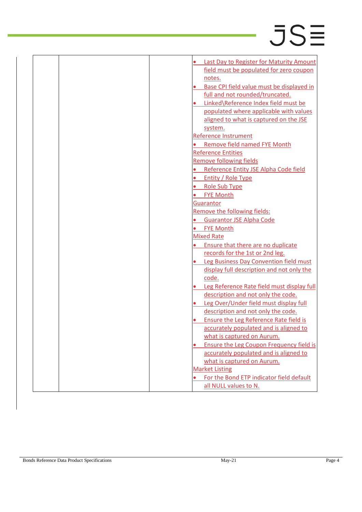|  | Last Day to Register for Maturity Amount              |
|--|-------------------------------------------------------|
|  | field must be populated for zero coupon               |
|  |                                                       |
|  | notes.                                                |
|  | Base CPI field value must be displayed in             |
|  | full and not rounded/truncated.                       |
|  | Linked\Reference Index field must be                  |
|  | populated where applicable with values                |
|  | aligned to what is captured on the JSE                |
|  | system.                                               |
|  | <b>Reference Instrument</b>                           |
|  | <b>Remove field named FYE Month</b>                   |
|  | <b>Reference Entities</b>                             |
|  | <b>Remove following fields</b>                        |
|  | Reference Entity JSE Alpha Code field                 |
|  | Entity / Role Type                                    |
|  | <b>Role Sub Type</b>                                  |
|  | <b>FYE Month</b>                                      |
|  | Guarantor                                             |
|  | Remove the following fields:                          |
|  | <b>Guarantor JSE Alpha Code</b>                       |
|  | <b>FYE Month</b>                                      |
|  | <b>Mixed Rate</b>                                     |
|  | Ensure that there are no duplicate                    |
|  | records for the 1st or 2nd leg.                       |
|  | Leg Business Day Convention field must                |
|  | display full description and not only the             |
|  | code.                                                 |
|  | Leg Reference Rate field must display full            |
|  | description and not only the code.                    |
|  | Leg Over/Under field must display full                |
|  | description and not only the code.                    |
|  | Ensure the Leg Reference Rate field is                |
|  | accurately populated and is aligned to                |
|  | what is captured on Aurum.                            |
|  | Ensure the Leg Coupon Frequency field is<br>$\bullet$ |
|  | accurately populated and is aligned to                |
|  | what is captured on Aurum.                            |
|  | <b>Market Listing</b>                                 |
|  | For the Bond ETP indicator field default              |
|  | all NULL values to N.                                 |
|  |                                                       |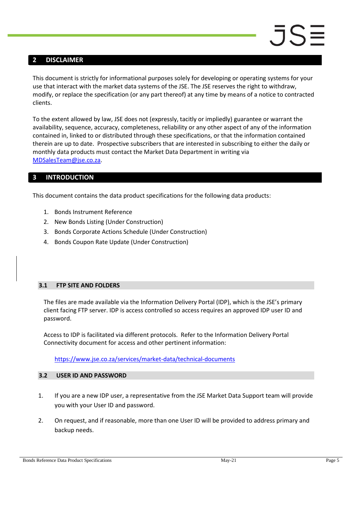#### <span id="page-4-0"></span>**2 DISCLAIMER**

This document is strictly for informational purposes solely for developing or operating systems for your use that interact with the market data systems of the JSE. The JSE reserves the right to withdraw, modify, or replace the specification (or any part thereof) at any time by means of a notice to contracted clients.

To the extent allowed by law, JSE does not (expressly, tacitly or impliedly) guarantee or warrant the availability, sequence, accuracy, completeness, reliability or any other aspect of any of the information contained in, linked to or distributed through these specifications, or that the information contained therein are up to date. Prospective subscribers that are interested in subscribing to either the daily or monthly data products must contact the Market Data Department in writing via [MDSalesTeam@jse.co.za.](mailto:MDSalesTeam@jse.co.za)

#### <span id="page-4-1"></span>**3 INTRODUCTION**

This document contains the data product specifications for the following data products:

- 1. Bonds Instrument Reference
- 2. New Bonds Listing (Under Construction)
- 3. Bonds Corporate Actions Schedule (Under Construction)
- 4. Bonds Coupon Rate Update (Under Construction)

#### <span id="page-4-2"></span>**3.1 FTP SITE AND FOLDERS**

The files are made available via the Information Delivery Portal (IDP), which is the JSE's primary client facing FTP server. IDP is access controlled so access requires an approved IDP user ID and password.

Access to IDP is facilitated via different protocols. Refer to the Information Delivery Portal Connectivity document for access and other pertinent information:

<https://www.jse.co.za/services/market-data/technical-documents>

#### <span id="page-4-3"></span>**3.2 USER ID AND PASSWORD**

- 1. If you are a new IDP user, a representative from the JSE Market Data Support team will provide you with your User ID and password.
- 2. On request, and if reasonable, more than one User ID will be provided to address primary and backup needs.

Bonds Reference Data Product Specifications and the matrix of the May-21 Page 5 Page 5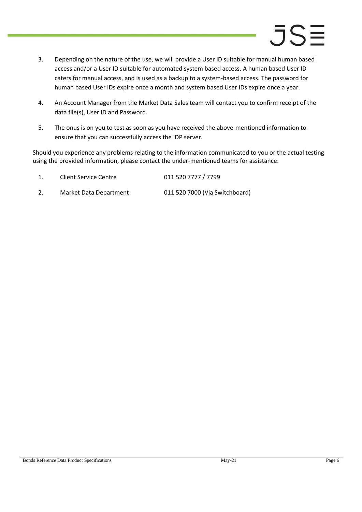- 3. Depending on the nature of the use, we will provide a User ID suitable for manual human based access and/or a User ID suitable for automated system based access. A human based User ID caters for manual access, and is used as a backup to a system-based access. The password for human based User IDs expire once a month and system based User IDs expire once a year.
- 4. An Account Manager from the Market Data Sales team will contact you to confirm receipt of the data file(s), User ID and Password.
- 5. The onus is on you to test as soon as you have received the above-mentioned information to ensure that you can successfully access the IDP server.

Should you experience any problems relating to the information communicated to you or the actual testing using the provided information, please contact the under-mentioned teams for assistance:

| Client Service Centre  | 011 520 7777 / 7799            |
|------------------------|--------------------------------|
| Market Data Department | 011 520 7000 (Via Switchboard) |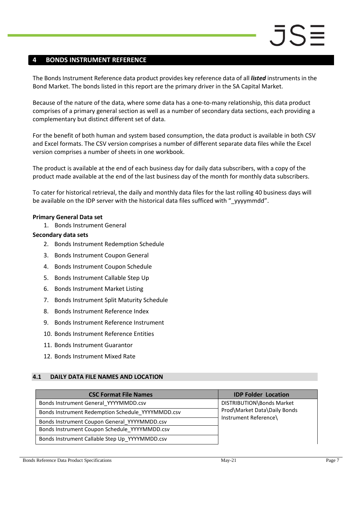#### <span id="page-6-0"></span>**4 BONDS INSTRUMENT REFERENCE**

The Bonds Instrument Reference data product provides key reference data of all *listed* instruments in the Bond Market. The bonds listed in this report are the primary driver in the SA Capital Market.

Because of the nature of the data, where some data has a one-to-many relationship, this data product comprises of a primary general section as well as a number of secondary data sections, each providing a complementary but distinct different set of data.

For the benefit of both human and system based consumption, the data product is available in both CSV and Excel formats. The CSV version comprises a number of different separate data files while the Excel version comprises a number of sheets in one workbook.

The product is available at the end of each business day for daily data subscribers, with a copy of the product made available at the end of the last business day of the month for monthly data subscribers.

To cater for historical retrieval, the daily and monthly data files for the last rolling 40 business days will be available on the IDP server with the historical data files sufficed with " yyyymmdd".

#### **Primary General Data set**

1. Bonds Instrument General

#### **Secondary data sets**

- 2. Bonds Instrument Redemption Schedule
- 3. Bonds Instrument Coupon General
- 4. Bonds Instrument Coupon Schedule
- 5. Bonds Instrument Callable Step Up
- 6. Bonds Instrument Market Listing
- 7. Bonds Instrument Split Maturity Schedule
- 8. Bonds Instrument Reference Index
- 9. Bonds Instrument Reference Instrument
- 10. Bonds Instrument Reference Entities
- 11. Bonds Instrument Guarantor
- 12. Bonds Instrument Mixed Rate

#### <span id="page-6-1"></span>**4.1 DAILY DATA FILE NAMES AND LOCATION**

| <b>CSC Format File Names</b>                      | <b>IDP Folder Location</b>   |
|---------------------------------------------------|------------------------------|
| Bonds Instrument General_YYYYMMDD.csv             | DISTRIBUTION\Bonds Market    |
| Bonds Instrument Redemption Schedule_YYYYMMDD.csv | Prod\Market Data\Daily Bonds |
| Bonds Instrument Coupon General YYYYMMDD.csv      | Instrument Reference\        |
| Bonds Instrument Coupon Schedule YYYYMMDD.csv     |                              |
| Bonds Instrument Callable Step Up YYYYMMDD.csv    |                              |

Bonds Reference Data Product Specifications **May-21** May-21 Page 7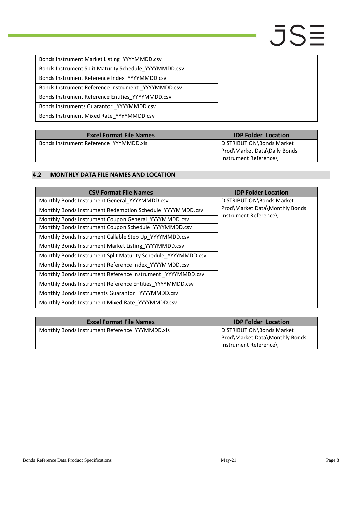| Bonds Instrument Market Listing_YYYYMMDD.csv          |
|-------------------------------------------------------|
| Bonds Instrument Split Maturity Schedule YYYYMMDD.csv |
| Bonds Instrument Reference Index YYYYMMDD.csv         |
| Bonds Instrument Reference Instrument YYYYMMDD.csv    |
| Bonds Instrument Reference Entities YYYYMMDD.csv      |
| Bonds Instruments Guarantor YYYYMMDD.csv              |
| Bonds Instrument Mixed Rate YYYYMMDD.csv              |

| <b>Excel Format File Names</b>         | <b>IDP Folder Location</b>                                                         |
|----------------------------------------|------------------------------------------------------------------------------------|
| Bonds Instrument Reference YYYMMDD.xls | DISTRIBUTION\Bonds Market<br>Prod\Market Data\Daily Bonds<br>Instrument Reference\ |

#### <span id="page-7-0"></span>**4.2 MONTHLY DATA FILE NAMES AND LOCATION**

| <b>CSV Format File Names</b>                                  | <b>IDP Folder Location</b>     |  |  |
|---------------------------------------------------------------|--------------------------------|--|--|
| Monthly Bonds Instrument General YYYYMMDD.csv                 | DISTRIBUTION\Bonds Market      |  |  |
| Monthly Bonds Instrument Redemption Schedule YYYYMMDD.csv     | Prod\Market Data\Monthly Bonds |  |  |
| Monthly Bonds Instrument Coupon General YYYYMMDD.csv          | Instrument Reference\          |  |  |
| Monthly Bonds Instrument Coupon Schedule YYYYMMDD.csv         |                                |  |  |
| Monthly Bonds Instrument Callable Step Up YYYYMMDD.csv        |                                |  |  |
| Monthly Bonds Instrument Market Listing YYYYMMDD.csv          |                                |  |  |
| Monthly Bonds Instrument Split Maturity Schedule YYYYMMDD.csv |                                |  |  |
| Monthly Bonds Instrument Reference Index YYYYMMDD.csv         |                                |  |  |
| Monthly Bonds Instrument Reference Instrument _YYYYMMDD.csv   |                                |  |  |
| Monthly Bonds Instrument Reference Entities YYYYMMDD.csv      |                                |  |  |
| Monthly Bonds Instruments Guarantor _YYYYMMDD.csv             |                                |  |  |
| Monthly Bonds Instrument Mixed Rate YYYYMMDD.csv              |                                |  |  |

| <b>Excel Format File Names</b>                 | <b>IDP Folder Location</b>                                                           |
|------------------------------------------------|--------------------------------------------------------------------------------------|
| Monthly Bonds Instrument Reference YYYMMDD.xls | DISTRIBUTION\Bonds Market<br>Prod\Market Data\Monthly Bonds<br>Instrument Reference\ |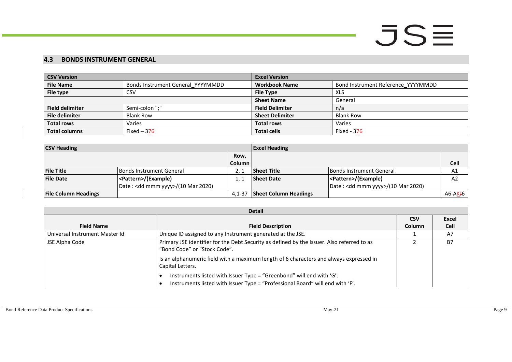#### **4.3 BONDS INSTRUMENT GENERAL**

| <b>CSV Version</b>     |                                   | <b>Excel Version</b>   |                                    |  |
|------------------------|-----------------------------------|------------------------|------------------------------------|--|
| <b>File Name</b>       | Bonds Instrument General YYYYMMDD | <b>Workbook Name</b>   | Bond Instrument Reference YYYYMMDD |  |
| File type              | CSV                               | <b>File Type</b>       | XLS                                |  |
|                        |                                   | <b>Sheet Name</b>      | General                            |  |
| <b>Field delimiter</b> | Semi-colon ":"                    | <b>Field Delimiter</b> | n/a                                |  |
| <b>File delimiter</b>  | <b>Blank Row</b>                  | <b>Sheet Delimiter</b> | <b>Blank Row</b>                   |  |
| <b>Total rows</b>      | Varies                            | <b>Total rows</b>      | Varies                             |  |
| <b>Total columns</b>   | Fixed $-376$                      | <b>Total cells</b>     | Fixed - 37 <del>6</del>            |  |

| <b>CSV Heading</b>          |                                              |               | <b>Excel Heading</b>         |                                              |                      |
|-----------------------------|----------------------------------------------|---------------|------------------------------|----------------------------------------------|----------------------|
|                             |                                              | Row,          |                              |                                              |                      |
|                             |                                              | <b>Column</b> |                              |                                              | <b>Cell</b>          |
| <b>File Title</b>           | Bonds Instrument General                     |               | <b>Sheet Title</b>           | <b>Bonds Instrument General</b>              | A1                   |
| <b>File Date</b>            | <pattern>/(Example)</pattern>                |               | <b>Sheet Date</b>            | <pattern>/(Example)</pattern>                | A2                   |
|                             | Date: <dd mmm="" yyyy="">/(10 Mar 2020)</dd> |               |                              | Date: <dd mmm="" yyyy="">/(10 Mar 2020)</dd> |                      |
| <b>File Column Headings</b> |                                              | $4.1 - 37$    | <b>Sheet Column Headings</b> |                                              | A6-AK <del>J</del> 6 |

<span id="page-8-0"></span>

| <b>Detail</b>                  |                                                                                                                                                       |        |           |  |  |
|--------------------------------|-------------------------------------------------------------------------------------------------------------------------------------------------------|--------|-----------|--|--|
|                                | <b>CSV</b>                                                                                                                                            | Excel  |           |  |  |
| <b>Field Name</b>              | <b>Field Description</b>                                                                                                                              | Column | Cell      |  |  |
| Universal Instrument Master Id | Unique ID assigned to any Instrument generated at the JSE.                                                                                            |        | A7        |  |  |
| JSE Alpha Code                 | Primary JSE identifier for the Debt Security as defined by the Issuer. Also referred to as<br>"Bond Code" or "Stock Code".                            |        | <b>B7</b> |  |  |
|                                | Is an alphanumeric field with a maximum length of 6 characters and always expressed in<br>Capital Letters.                                            |        |           |  |  |
|                                | Instruments listed with Issuer Type = "Greenbond" will end with 'G'.<br>Instruments listed with Issuer Type = "Professional Board" will end with 'F'. |        |           |  |  |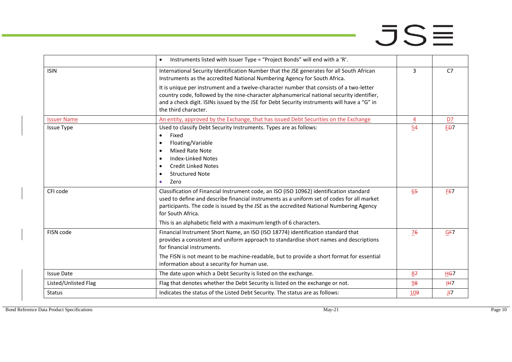|                      | Instruments listed with Issuer Type = "Project Bonds" will end with a 'R'.                                                                                                                                                                                                                                  |                |                  |
|----------------------|-------------------------------------------------------------------------------------------------------------------------------------------------------------------------------------------------------------------------------------------------------------------------------------------------------------|----------------|------------------|
| <b>ISIN</b>          | International Security Identification Number that the JSE generates for all South African<br>Instruments as the accredited National Numbering Agency for South Africa.                                                                                                                                      | $\overline{3}$ | C <sub>7</sub>   |
|                      | It is unique per instrument and a twelve-character number that consists of a two-letter<br>country code, followed by the nine-character alphanumerical national security identifier,<br>and a check digit. ISINs issued by the JSE for Debt Security instruments will have a "G" in<br>the third character. |                |                  |
| <b>Issuer Name</b>   | An entity, approved by the Exchange, that has issued Debt Securities on the Exchange                                                                                                                                                                                                                        | $\overline{4}$ | D7               |
| <b>Issue Type</b>    | Used to classify Debt Security Instruments. Types are as follows:<br>Fixed<br>$\bullet$<br>Floating/Variable<br>$\bullet$<br>Mixed Rate Note<br><b>Index-Linked Notes</b><br>$\bullet$<br><b>Credit Linked Notes</b><br>$\bullet$<br><b>Structured Note</b><br>$\bullet$                                    | 54             | E <sub>D</sub> 7 |
|                      | Zero<br>$\bullet$                                                                                                                                                                                                                                                                                           |                |                  |
| CFI code             | Classification of Financial Instrument code, an ISO (ISO 10962) identification standard<br>used to define and describe financial instruments as a uniform set of codes for all market<br>participants. The code is issued by the JSE as the accredited National Numbering Agency<br>for South Africa.       | 65             | FE7              |
|                      | This is an alphabetic field with a maximum length of 6 characters.                                                                                                                                                                                                                                          |                |                  |
| FISN code            | Financial Instrument Short Name, an ISO (ISO 18774) identification standard that<br>provides a consistent and uniform approach to standardise short names and descriptions<br>for financial instruments.                                                                                                    | 76             | GF7              |
|                      | The FISN is not meant to be machine-readable, but to provide a short format for essential<br>information about a security for human use.                                                                                                                                                                    |                |                  |
| <b>Issue Date</b>    | The date upon which a Debt Security is listed on the exchange.                                                                                                                                                                                                                                              | 87             | HG7              |
| Listed/Unlisted Flag | Flag that denotes whether the Debt Security is listed on the exchange or not.                                                                                                                                                                                                                               | 98             | <u>IH7</u>       |
| <b>Status</b>        | Indicates the status of the Listed Debt Security. The status are as follows:                                                                                                                                                                                                                                | 109            | $J+7$            |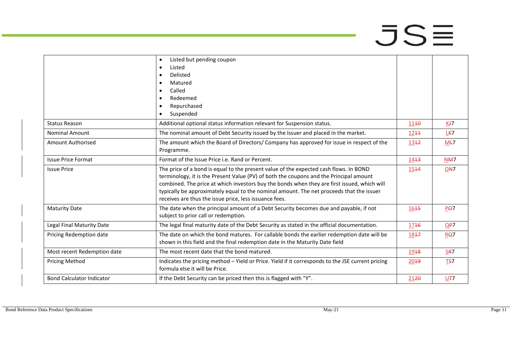|                                  | Listed but pending coupon<br>$\bullet$                                                            |                  |                 |
|----------------------------------|---------------------------------------------------------------------------------------------------|------------------|-----------------|
|                                  | Listed<br>$\bullet$                                                                               |                  |                 |
|                                  | Delisted<br>$\bullet$                                                                             |                  |                 |
|                                  | Matured<br>$\bullet$                                                                              |                  |                 |
|                                  | Called<br>$\bullet$                                                                               |                  |                 |
|                                  | Redeemed<br>$\bullet$                                                                             |                  |                 |
|                                  | Repurchased<br>$\bullet$                                                                          |                  |                 |
|                                  | Suspended<br>$\bullet$                                                                            |                  |                 |
| <b>Status Reason</b>             | Additional optional status information relevant for Suspension status.                            | 1140             | Kł7             |
| <b>Nominal Amount</b>            | The nominal amount of Debt Security issued by the Issuer and placed in the market.                | 1244             | LK7             |
| Amount Authorised                | The amount which the Board of Directors/Company has approved for issue in respect of the          | 1342             | $M+7$           |
|                                  | Programme.                                                                                        |                  |                 |
| <b>Issue Price Format</b>        | Format of the Issue Price i.e. Rand or Percent.                                                   | 14 <del>13</del> | N <sub>M7</sub> |
| <b>Issue Price</b>               | The price of a bond is equal to the present value of the expected cash flows. In BOND             | 1544             | ON <sub>7</sub> |
|                                  | terminology, it is the Present Value (PV) of both the coupons and the Principal amount            |                  |                 |
|                                  | combined. The price at which investors buy the bonds when they are first issued, which will       |                  |                 |
|                                  | typically be approximately equal to the nominal amount. The net proceeds that the issuer          |                  |                 |
|                                  | receives are thus the issue price, less issuance fees.                                            |                  |                 |
| <b>Maturity Date</b>             | The date when the principal amount of a Debt Security becomes due and payable, if not             | 1645             | P <sub>0</sub>  |
|                                  | subject to prior call or redemption.                                                              |                  |                 |
| Legal Final Maturity Date        | The legal final maturity date of the Debt Security as stated in the official documentation.       | 1746             | QP7             |
| Pricing Redemption date          | The date on which the bond matures. For callable bonds the earlier redemption date will be        | 1847             | RQ7             |
|                                  | shown in this field and the final redemption date in the Maturity Date field                      |                  |                 |
| Most recent Redemption date      | The most recent date that the bond matured.                                                       | 1948             | SR7             |
| <b>Pricing Method</b>            | Indicates the pricing method - Yield or Price. Yield if it corresponds to the JSE current pricing | 2019             | TS7             |
|                                  | formula else it will be Price.                                                                    |                  |                 |
| <b>Bond Calculator Indicator</b> | If the Debt Security can be priced then this is flagged with "Y".                                 | 2120             | U <sub>∓7</sub> |
|                                  |                                                                                                   |                  |                 |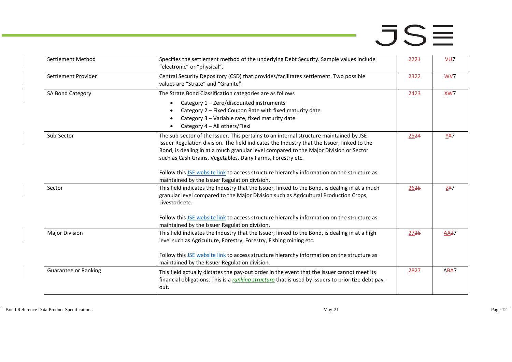| Settlement Method           | Specifies the settlement method of the underlying Debt Security. Sample values include<br>"electronic" or "physical".                                                                                                                                                                                                                                                                                                                                                                        | 2224             | $V + 7$    |
|-----------------------------|----------------------------------------------------------------------------------------------------------------------------------------------------------------------------------------------------------------------------------------------------------------------------------------------------------------------------------------------------------------------------------------------------------------------------------------------------------------------------------------------|------------------|------------|
| Settlement Provider         | Central Security Depository (CSD) that provides/facilitates settlement. Two possible<br>values are "Strate" and "Granite".                                                                                                                                                                                                                                                                                                                                                                   | 2322             | W¥7        |
| SA Bond Category            | The Strate Bond Classification categories are as follows<br>Category 1 - Zero/discounted instruments<br>Category 2 - Fixed Coupon Rate with fixed maturity date<br>Category 3 - Variable rate, fixed maturity date<br>Category 4 - All others/Flexi                                                                                                                                                                                                                                          | 2423             | XWT        |
| Sub-Sector                  | The sub-sector of the Issuer. This pertains to an internal structure maintained by JSE<br>Issuer Regulation division. The field indicates the Industry that the Issuer, linked to the<br>Bond, is dealing in at a much granular level compared to the Major Division or Sector<br>such as Cash Grains, Vegetables, Dairy Farms, Forestry etc.<br>Follow this JSE website link to access structure hierarchy information on the structure as<br>maintained by the Issuer Regulation division. | 2524             | <b>YX7</b> |
| Sector                      | This field indicates the Industry that the Issuer, linked to the Bond, is dealing in at a much<br>granular level compared to the Major Division such as Agricultural Production Crops,<br>Livestock etc.<br>Follow this JSE website link to access structure hierarchy information on the structure as<br>maintained by the Issuer Regulation division.                                                                                                                                      | 2625             | ZY7        |
| <b>Major Division</b>       | This field indicates the Industry that the Issuer, linked to the Bond, is dealing in at a high<br>level such as Agriculture, Forestry, Forestry, Fishing mining etc.<br>Follow this JSE website link to access structure hierarchy information on the structure as<br>maintained by the Issuer Regulation division.                                                                                                                                                                          | 27 <del>26</del> | AAZ7       |
| <b>Guarantee or Ranking</b> | This field actually dictates the pay-out order in the event that the issuer cannot meet its<br>financial obligations. This is a ranking structure that is used by issuers to prioritize debt pay-<br>out.                                                                                                                                                                                                                                                                                    | 2827             | ABA7       |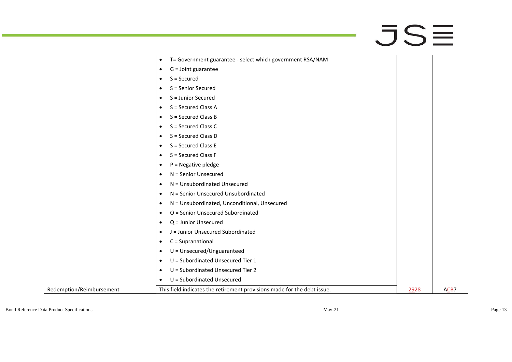a,

| $\bullet$                                                 | T= Government guarantee - select which government RSA/NAM               |      |      |
|-----------------------------------------------------------|-------------------------------------------------------------------------|------|------|
| G = Joint guarantee<br>$\bullet$                          |                                                                         |      |      |
| S = Secured<br>$\bullet$                                  |                                                                         |      |      |
| S = Senior Secured<br>٠                                   |                                                                         |      |      |
| S = Junior Secured<br>٠                                   |                                                                         |      |      |
| S = Secured Class A<br>$\bullet$                          |                                                                         |      |      |
| S = Secured Class B<br>$\bullet$                          |                                                                         |      |      |
| S = Secured Class C<br>$\bullet$                          |                                                                         |      |      |
| S = Secured Class D<br>$\bullet$                          |                                                                         |      |      |
| S = Secured Class E<br>$\bullet$                          |                                                                         |      |      |
| S = Secured Class F<br>$\bullet$                          |                                                                         |      |      |
| $P = Negative$ pledge<br>$\bullet$                        |                                                                         |      |      |
| N = Senior Unsecured<br>$\bullet$                         |                                                                         |      |      |
| N = Unsubordinated Unsecured<br>$\bullet$                 |                                                                         |      |      |
| N = Senior Unsecured Unsubordinated<br>$\bullet$          |                                                                         |      |      |
| N = Unsubordinated, Unconditional, Unsecured<br>$\bullet$ |                                                                         |      |      |
| O = Senior Unsecured Subordinated<br>$\bullet$            |                                                                         |      |      |
| Q = Junior Unsecured<br>$\bullet$                         |                                                                         |      |      |
| J = Junior Unsecured Subordinated<br>$\bullet$            |                                                                         |      |      |
| C = Supranational<br>$\bullet$                            |                                                                         |      |      |
| U = Unsecured/Unguaranteed<br>$\bullet$                   |                                                                         |      |      |
| U = Subordinated Unsecured Tier 1<br>$\bullet$            |                                                                         |      |      |
| U = Subordinated Unsecured Tier 2<br>$\bullet$            |                                                                         |      |      |
| U = Subordinated Unsecured<br>$\bullet$                   |                                                                         |      |      |
| Redemption/Reimbursement                                  | This field indicates the retirement provisions made for the debt issue. | 2928 | ACB7 |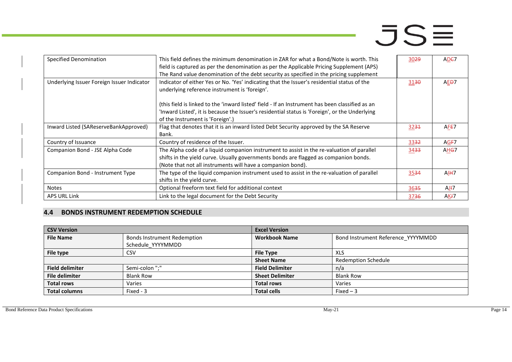| Specified Denomination                     | This field defines the minimum denomination in ZAR for what a Bond/Note is worth. This<br>field is captured as per the denomination as per the Applicable Pricing Supplement (APS)<br>The Rand value denomination of the debt security as specified in the pricing supplement | 3029 | AD <sub>E</sub> 7 |
|--------------------------------------------|-------------------------------------------------------------------------------------------------------------------------------------------------------------------------------------------------------------------------------------------------------------------------------|------|-------------------|
| Underlying Issuer Foreign Issuer Indicator | Indicator of either Yes or No. 'Yes' indicating that the Issuer's residential status of the<br>underlying reference instrument is 'foreign'.                                                                                                                                  | 3130 | AE <del>D</del> 7 |
|                                            | (this field is linked to the 'inward listed' field - If an Instrument has been classified as an<br>'Inward Listed', it is because the Issuer's residential status is 'Foreign', or the Underlying<br>of the Instrument is 'Foreign'.)                                         |      |                   |
| Inward Listed (SAReserveBankApproved)      | Flag that denotes that it is an inward listed Debt Security approved by the SA Reserve<br>Bank.                                                                                                                                                                               | 3231 | AFE7              |
| Country of Issuance                        | Country of residence of the Issuer.                                                                                                                                                                                                                                           | 3332 | AG <del>F</del> 7 |
| Companion Bond - JSE Alpha Code            | The Alpha code of a liquid companion instrument to assist in the re-valuation of parallel<br>shifts in the yield curve. Usually governments bonds are flagged as companion bonds.<br>(Note that not all instruments will have a companion bond).                              | 3433 | AH <del>G</del> 7 |
| Companion Bond - Instrument Type           | The type of the liquid companion instrument used to assist in the re-valuation of parallel<br>shifts in the yield curve.                                                                                                                                                      | 3534 | AIH7              |
| <b>Notes</b>                               | Optional freeform text field for additional context                                                                                                                                                                                                                           | 3635 | AJI7              |
| APS URL Link                               | Link to the legal document for the Debt Security                                                                                                                                                                                                                              | 3736 | AKJ7              |

#### **4.4 BONDS INSTRUMENT REDEMPTION SCHEDULE**

<span id="page-13-0"></span>

| <b>CSV Version</b>     |                                    | <b>Excel Version</b>   |                                    |  |
|------------------------|------------------------------------|------------------------|------------------------------------|--|
| <b>File Name</b>       | <b>Bonds Instrument Redemption</b> | <b>Workbook Name</b>   | Bond Instrument Reference_YYYYMMDD |  |
|                        | Schedule YYYYMMDD                  |                        |                                    |  |
| File type              | CSV                                | <b>File Type</b>       | <b>XLS</b>                         |  |
|                        |                                    | <b>Sheet Name</b>      | <b>Redemption Schedule</b>         |  |
| <b>Field delimiter</b> | Semi-colon ";"                     | <b>Field Delimiter</b> | n/a                                |  |
| <b>File delimiter</b>  | <b>Blank Row</b>                   | <b>Sheet Delimiter</b> | <b>Blank Row</b>                   |  |
| <b>Total rows</b>      | Varies                             | <b>Total rows</b>      | Varies                             |  |
| <b>Total columns</b>   | Fixed - 3                          | <b>Total cells</b>     | Fixed $-3$                         |  |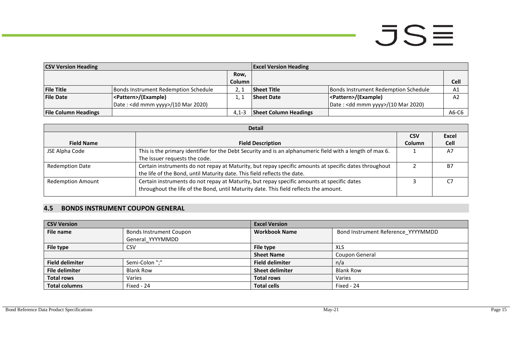| <b>CSV Version Heading</b>  |                                      |               | <b>Excel Version Heading</b> |                                              |                |
|-----------------------------|--------------------------------------|---------------|------------------------------|----------------------------------------------|----------------|
|                             |                                      | Row,          |                              |                                              |                |
|                             |                                      | <b>Column</b> |                              |                                              | Cell           |
| <b>File Title</b>           | Bonds Instrument Redemption Schedule |               | <b>Sheet Title</b>           | Bonds Instrument Redemption Schedule         | A <sub>1</sub> |
| <b>File Date</b>            | <pattern>/(Example)</pattern>        |               | <b>Sheet Date</b>            | <pattern>/(Example)</pattern>                | A <sub>2</sub> |
|                             | Date: $<$ dd mmm yyyy>/(10 Mar 2020) |               |                              | Date: <dd mmm="" yyyy="">/(10 Mar 2020)</dd> |                |
| <b>File Column Headings</b> |                                      | $4.1 - 3$     | <b>Sheet Column Headings</b> |                                              | A6-C6          |

| <b>Detail</b>            |                                                                                                           |            |       |  |
|--------------------------|-----------------------------------------------------------------------------------------------------------|------------|-------|--|
|                          |                                                                                                           | <b>CSV</b> | Excel |  |
| <b>Field Name</b>        | <b>Field Description</b>                                                                                  | Column     | Cell  |  |
| JSE Alpha Code           | This is the primary identifier for the Debt Security and is an alphanumeric field with a length of max 6. |            | A7    |  |
|                          | The Issuer requests the code.                                                                             |            |       |  |
| <b>Redemption Date</b>   | Certain instruments do not repay at Maturity, but repay specific amounts at specific dates throughout     |            | B7    |  |
|                          | the life of the Bond, until Maturity date. This field reflects the date.                                  |            |       |  |
| <b>Redemption Amount</b> | Certain instruments do not repay at Maturity, but repay specific amounts at specific dates                |            | C7    |  |
|                          | throughout the life of the Bond, until Maturity date. This field reflects the amount.                     |            |       |  |
|                          |                                                                                                           |            |       |  |

#### **4.5 BONDS INSTRUMENT COUPON GENERAL**

<span id="page-14-0"></span>

| <b>CSV Version</b>     |                         | <b>Excel Version</b>   |                                    |  |  |
|------------------------|-------------------------|------------------------|------------------------------------|--|--|
| File name              | Bonds Instrument Coupon | <b>Workbook Name</b>   | Bond Instrument Reference YYYYMMDD |  |  |
|                        | General YYYYMMDD        |                        |                                    |  |  |
| File type              | <b>CSV</b>              | File type              | <b>XLS</b>                         |  |  |
|                        |                         | <b>Sheet Name</b>      | Coupon General                     |  |  |
| <b>Field delimiter</b> | Semi-Colon ";"          | <b>Field delimiter</b> | n/a                                |  |  |
| <b>File delimiter</b>  | <b>Blank Row</b>        | <b>Sheet delimiter</b> | <b>Blank Row</b>                   |  |  |
| <b>Total rows</b>      | Varies                  | <b>Total rows</b>      | Varies                             |  |  |
| <b>Total columns</b>   | Fixed - 24              | <b>Total cells</b>     | Fixed - 24                         |  |  |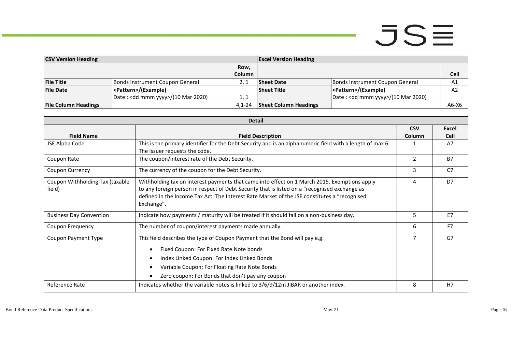- 1

| <b>CSV Version Heading</b>  |                                              | <b>Excel Version Heading</b> |                              |                                    |         |
|-----------------------------|----------------------------------------------|------------------------------|------------------------------|------------------------------------|---------|
|                             |                                              | Row.                         |                              |                                    |         |
|                             |                                              | Column                       |                              |                                    | Cell    |
| <b>File Title</b>           | Bonds Instrument Coupon General              |                              | <b>Sheet Date</b>            | Bonds Instrument Coupon General    | A1      |
| <b>File Date</b>            | <pattern>/(Example)</pattern>                |                              | <b>Sheet Title</b>           | <pattern>/(Example)</pattern>      | A2      |
|                             | Date: <dd mmm="" yyyy="">/(10 Mar 2020)</dd> | 1. 1                         |                              | Date: < dd mmm yyyy>/(10 Mar 2020) |         |
| <b>File Column Headings</b> |                                              | $4.1 - 24$                   | <b>Sheet Column Headings</b> |                                    | $A6-X6$ |

| <b>Detail</b>                   |                                                                                                           |            |                |  |
|---------------------------------|-----------------------------------------------------------------------------------------------------------|------------|----------------|--|
|                                 |                                                                                                           | <b>CSV</b> | Excel          |  |
| <b>Field Name</b>               | <b>Field Description</b>                                                                                  | Column     | <b>Cell</b>    |  |
| JSE Alpha Code                  | This is the primary identifier for the Debt Security and is an alphanumeric field with a length of max 6. |            | A7             |  |
|                                 | The Issuer requests the code.                                                                             |            |                |  |
| Coupon Rate                     | The coupon/interest rate of the Debt Security.                                                            | 2          | <b>B7</b>      |  |
| <b>Coupon Currency</b>          | The currency of the coupon for the Debt Security.                                                         | 3          | C <sub>7</sub> |  |
| Coupon Withholding Tax (taxable | Withholding tax on interest payments that came into effect on 1 March 2015. Exemptions apply              | 4          | D <sub>7</sub> |  |
| field)                          | to any foreign person in respect of Debt Security that is listed on a "recognised exchange as             |            |                |  |
|                                 | defined in the Income Tax Act. The Interest Rate Market of the JSE constitutes a "recognised              |            |                |  |
|                                 | Exchange".                                                                                                |            |                |  |
| <b>Business Day Convention</b>  | Indicate how payments / maturity will be treated if it should fall on a non-business day.                 | 5          | E7             |  |
| Coupon Frequency                | The number of coupon/interest payments made annually.                                                     | 6          | F <sub>7</sub> |  |
| Coupon Payment Type             | This field describes the type of Coupon Payment that the Bond will pay e.g.                               | 7          | G7             |  |
|                                 | Fixed Coupon: For Fixed Rate Note bonds                                                                   |            |                |  |
|                                 | Index Linked Coupon: For Index Linked Bonds                                                               |            |                |  |
|                                 | Variable Coupon: For Floating Rate Note Bonds                                                             |            |                |  |
|                                 | Zero coupon: For Bonds that don't pay any coupon                                                          |            |                |  |
| Reference Rate                  | Indicates whether the variable notes is linked to 3/6/9/12m JIBAR or another index.                       | 8          | H <sub>7</sub> |  |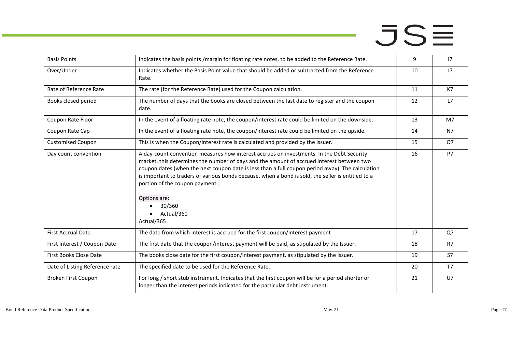- 1

| <b>Basis Points</b>            | Indicates the basis points /margin for floating rate notes, to be added to the Reference Rate.                                                                                                                                                                                                                                                                                                                                                                                           | 9  | 17             |
|--------------------------------|------------------------------------------------------------------------------------------------------------------------------------------------------------------------------------------------------------------------------------------------------------------------------------------------------------------------------------------------------------------------------------------------------------------------------------------------------------------------------------------|----|----------------|
| Over/Under                     | Indicates whether the Basis Point value that should be added or subtracted from the Reference<br>Rate.                                                                                                                                                                                                                                                                                                                                                                                   | 10 | J <sub>7</sub> |
| Rate of Reference Rate         | The rate (for the Reference Rate) used for the Coupon calculation.                                                                                                                                                                                                                                                                                                                                                                                                                       | 11 | K7             |
| Books closed period            | The number of days that the books are closed between the last date to register and the coupon<br>date.                                                                                                                                                                                                                                                                                                                                                                                   | 12 | L7             |
| Coupon Rate Floor              | In the event of a floating rate note, the coupon/interest rate could be limited on the downside.                                                                                                                                                                                                                                                                                                                                                                                         | 13 | M7             |
| Coupon Rate Cap                | In the event of a floating rate note, the coupon/interest rate could be limited on the upside.                                                                                                                                                                                                                                                                                                                                                                                           | 14 | N7             |
| <b>Customised Coupon</b>       | This is when the Coupon/interest rate is calculated and provided by the Issuer.                                                                                                                                                                                                                                                                                                                                                                                                          | 15 | <b>O7</b>      |
| Day count convention           | A day-count convention measures how interest accrues on investments. In the Debt Security<br>market, this determines the number of days and the amount of accrued interest between two<br>coupon dates (when the next coupon date is less than a full coupon period away). The calculation<br>is important to traders of various bonds because, when a bond is sold, the seller is entitled to a<br>portion of the coupon payment.<br>Options are:<br>30/360<br>Actual/360<br>Actual/365 | 16 | <b>P7</b>      |
| <b>First Accrual Date</b>      | The date from which interest is accrued for the first coupon/interest payment                                                                                                                                                                                                                                                                                                                                                                                                            | 17 | Q7             |
| First Interest / Coupon Date   | The first date that the coupon/interest payment will be paid, as stipulated by the Issuer.                                                                                                                                                                                                                                                                                                                                                                                               | 18 | R7             |
| First Books Close Date         | The books close date for the first coupon/interest payment, as stipulated by the Issuer.                                                                                                                                                                                                                                                                                                                                                                                                 | 19 | S7             |
| Date of Listing Reference rate | The specified date to be used for the Reference Rate.                                                                                                                                                                                                                                                                                                                                                                                                                                    | 20 | T7             |
| Broken First Coupon            | For long / short stub instrument. Indicates that the first coupon will be for a period shorter or<br>longer than the interest periods indicated for the particular debt instrument.                                                                                                                                                                                                                                                                                                      | 21 | U <sub>7</sub> |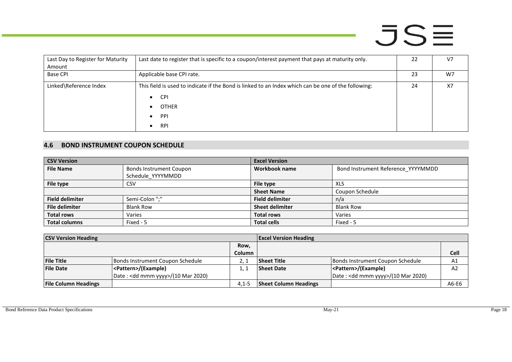| Last Day to Register for Maturity<br>Amount | Last date to register that is specific to a coupon/interest payment that pays at maturity only.                                                                                  | 22 | V <sub>7</sub> |
|---------------------------------------------|----------------------------------------------------------------------------------------------------------------------------------------------------------------------------------|----|----------------|
| <b>Base CPI</b>                             | Applicable base CPI rate.                                                                                                                                                        | 23 | W7             |
| Linked\Reference Index                      | This field is used to indicate if the Bond is linked to an Index which can be one of the following:<br><b>CPI</b><br>$\bullet$<br><b>OTHER</b><br>PPI<br>$\bullet$<br><b>RPI</b> | 24 | X7             |

#### **4.6 BOND INSTRUMENT COUPON SCHEDULE**

| <b>CSV Version</b>     |                                | <b>Excel Version</b>   |                                    |
|------------------------|--------------------------------|------------------------|------------------------------------|
| <b>File Name</b>       | <b>Bonds Instrument Coupon</b> | Workbook name          | Bond Instrument Reference_YYYYMMDD |
|                        | Schedule YYYYMMDD              |                        |                                    |
| File type              | CSV                            | File type              | XLS                                |
|                        |                                | <b>Sheet Name</b>      | Coupon Schedule                    |
| <b>Field delimiter</b> | Semi-Colon ";"                 | <b>Field delimiter</b> | n/a                                |
| <b>File delimiter</b>  | <b>Blank Row</b>               | <b>Sheet delimiter</b> | <b>Blank Row</b>                   |
| <b>Total rows</b>      | Varies                         | <b>Total rows</b>      | Varies                             |
| <b>Total columns</b>   | Fixed - 5                      | <b>Total cells</b>     | Fixed - 5                          |

<span id="page-17-0"></span>

| <b>CSV Version Heading</b>  |                                    |           | <b>Excel Version Heading</b> |                                              |                |
|-----------------------------|------------------------------------|-----------|------------------------------|----------------------------------------------|----------------|
|                             |                                    | Row,      |                              |                                              |                |
|                             |                                    | Column    |                              |                                              | <b>Cell</b>    |
| <b>File Title</b>           | Bonds Instrument Coupon Schedule   |           | <b>Sheet Title</b>           | Bonds Instrument Coupon Schedule             | A1             |
| <b>File Date</b>            | <pattern>/(Example)</pattern>      | 1. 1      | <b>Sheet Date</b>            | <pattern>/(Example)</pattern>                | A <sub>2</sub> |
|                             | Date: < dd mmm yyyy>/(10 Mar 2020) |           |                              | Date: <dd mmm="" yyyy="">/(10 Mar 2020)</dd> |                |
| <b>File Column Headings</b> |                                    | $4.1 - 5$ | <b>Sheet Column Headings</b> |                                              | A6-E6          |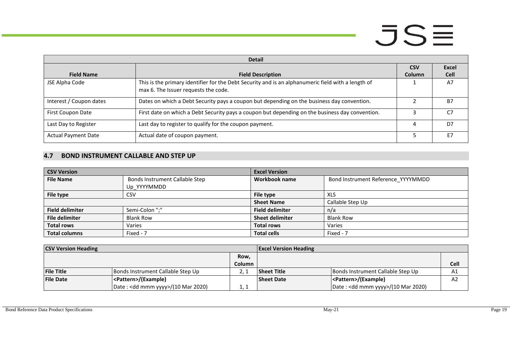| <b>Detail</b>              |                                                                                                                                            |               |              |  |  |
|----------------------------|--------------------------------------------------------------------------------------------------------------------------------------------|---------------|--------------|--|--|
|                            |                                                                                                                                            | <b>CSV</b>    | <b>Excel</b> |  |  |
| <b>Field Name</b>          | <b>Field Description</b>                                                                                                                   | <b>Column</b> | <b>Cell</b>  |  |  |
| JSE Alpha Code             | This is the primary identifier for the Debt Security and is an alphanumeric field with a length of<br>max 6. The Issuer requests the code. |               | A7           |  |  |
| Interest / Coupon dates    | Dates on which a Debt Security pays a coupon but depending on the business day convention.                                                 |               | <b>B7</b>    |  |  |
| First Coupon Date          | First date on which a Debt Security pays a coupon but depending on the business day convention.                                            |               | C.7          |  |  |
| Last Day to Register       | Last day to register to qualify for the coupon payment.                                                                                    | 4             | D7           |  |  |
| <b>Actual Payment Date</b> | Actual date of coupon payment.                                                                                                             |               | F7           |  |  |

#### **4.7 BOND INSTRUMENT CALLABLE AND STEP UP**

| <b>CSV Version</b>     |                                | <b>Excel Version</b>   |                                    |
|------------------------|--------------------------------|------------------------|------------------------------------|
| <b>File Name</b>       | Bonds Instrument Callable Step | Workbook name          | Bond Instrument Reference_YYYYMMDD |
|                        | Up YYYYMMDD                    |                        |                                    |
| File type              | CSV                            | File type              | XLS                                |
|                        |                                | <b>Sheet Name</b>      | Callable Step Up                   |
| <b>Field delimiter</b> | Semi-Colon ";"                 | <b>Field delimiter</b> | n/a                                |
| <b>File delimiter</b>  | <b>Blank Row</b>               | <b>Sheet delimiter</b> | <b>Blank Row</b>                   |
| <b>Total rows</b>      | Varies                         | <b>Total rows</b>      | Varies                             |
| <b>Total columns</b>   | Fixed - 7                      | <b>Total cells</b>     | Fixed - 7                          |

<span id="page-18-0"></span>

| <b>CSV Version Heading</b> |                                              |        | <b>Excel Version Heading</b> |                                              |      |
|----------------------------|----------------------------------------------|--------|------------------------------|----------------------------------------------|------|
|                            |                                              | Row,   |                              |                                              |      |
|                            |                                              | Column |                              |                                              | Cell |
| <b>File Title</b>          | Bonds Instrument Callable Step Up            |        | <b>Sheet Title</b>           | Bonds Instrument Callable Step Up            | A1   |
| <b>File Date</b>           | <pattern>/(Example)</pattern>                |        | <b>Sheet Date</b>            | <pattern>/(Example)</pattern>                | A2   |
|                            | Date: <dd mmm="" yyyy="">/(10 Mar 2020)</dd> | 1.1    |                              | Date: <dd mmm="" yyyy="">/(10 Mar 2020)</dd> |      |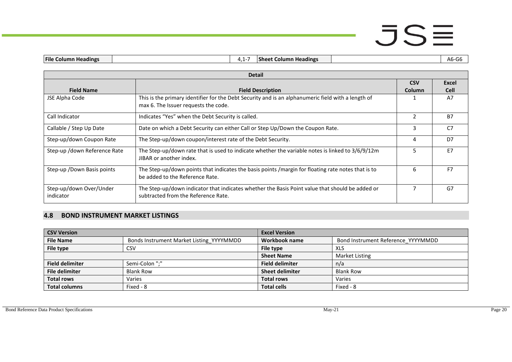|  | <b>File</b><br>olumn<br><b>Headings</b> | . | <u>ысы</u><br>Headings<br>Column<br><b>Sheet</b> |  | Δh<br>w |
|--|-----------------------------------------|---|--------------------------------------------------|--|---------|
|--|-----------------------------------------|---|--------------------------------------------------|--|---------|

|                                      | <b>Detail</b>                                                                                                                              |                |                |  |  |  |
|--------------------------------------|--------------------------------------------------------------------------------------------------------------------------------------------|----------------|----------------|--|--|--|
|                                      |                                                                                                                                            | <b>CSV</b>     | Excel          |  |  |  |
| <b>Field Name</b>                    | <b>Field Description</b>                                                                                                                   | Column         | <b>Cell</b>    |  |  |  |
| JSE Alpha Code                       | This is the primary identifier for the Debt Security and is an alphanumeric field with a length of<br>max 6. The Issuer requests the code. |                | A7             |  |  |  |
| Call Indicator                       | Indicates "Yes" when the Debt Security is called.                                                                                          | $\mathfrak{p}$ | <b>B7</b>      |  |  |  |
| Callable / Step Up Date              | Date on which a Debt Security can either Call or Step Up/Down the Coupon Rate.                                                             | 3              | C <sub>7</sub> |  |  |  |
| Step-up/down Coupon Rate             | The Step-up/down coupon/interest rate of the Debt Security.                                                                                | 4              | D7             |  |  |  |
| Step-up /down Reference Rate         | The Step-up/down rate that is used to indicate whether the variable notes is linked to 3/6/9/12m<br>JIBAR or another index.                | 5              | E7             |  |  |  |
| Step-up / Down Basis points          | The Step-up/down points that indicates the basis points / margin for floating rate notes that is to<br>be added to the Reference Rate.     | 6              | F7             |  |  |  |
| Step-up/down Over/Under<br>indicator | The Step-up/down indicator that indicates whether the Basis Point value that should be added or<br>subtracted from the Reference Rate.     |                | G7             |  |  |  |

#### **4.8 BOND INSTRUMENT MARKET LISTINGS**

<span id="page-19-0"></span>

| <b>CSV Version</b>     |                                          | <b>Excel Version</b>   |                                    |
|------------------------|------------------------------------------|------------------------|------------------------------------|
| <b>File Name</b>       | Bonds Instrument Market Listing YYYYMMDD | Workbook name          | Bond Instrument Reference YYYYMMDD |
| File type              | CSV                                      | File type              | XLS                                |
|                        |                                          | <b>Sheet Name</b>      | Market Listing                     |
| <b>Field delimiter</b> | Semi-Colon ":"                           | <b>Field delimiter</b> | n/a                                |
| <b>File delimiter</b>  | <b>Blank Row</b>                         | <b>Sheet delimiter</b> | <b>Blank Row</b>                   |
| <b>Total rows</b>      | Varies                                   | <b>Total rows</b>      | Varies                             |
| <b>Total columns</b>   | Fixed - 8                                | <b>Total cells</b>     | Fixed - 8                          |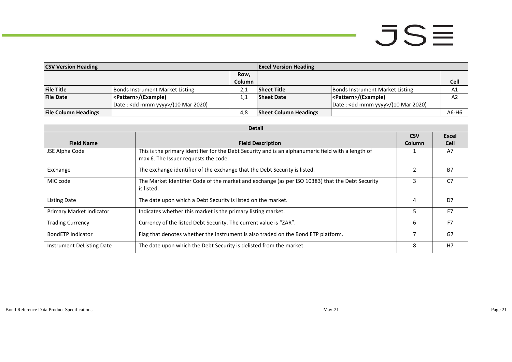- 1

| <b>CSV Version Heading</b>  |                                              | <b>Excel Version Heading</b> |                              |                                              |       |
|-----------------------------|----------------------------------------------|------------------------------|------------------------------|----------------------------------------------|-------|
|                             |                                              | Row,                         |                              |                                              |       |
|                             |                                              | Column                       |                              |                                              | Cell  |
| <b>File Title</b>           | <b>Bonds Instrument Market Listing</b>       |                              | <b>Sheet Title</b>           | Bonds Instrument Market Listing              | A1    |
| <b>File Date</b>            | <pattern>/(Example)</pattern>                |                              | <b>Sheet Date</b>            | <pattern>/(Example)</pattern>                | A2    |
|                             | Date: <dd mmm="" yyyy="">/(10 Mar 2020)</dd> |                              |                              | Date: <dd mmm="" yyyy="">/(10 Mar 2020)</dd> |       |
| <b>File Column Headings</b> |                                              | 4.8                          | <b>Sheet Column Headings</b> |                                              | A6-H6 |

|                           | <b>Detail</b>                                                                                                                              |               |                |  |  |  |
|---------------------------|--------------------------------------------------------------------------------------------------------------------------------------------|---------------|----------------|--|--|--|
|                           |                                                                                                                                            | <b>CSV</b>    | Excel          |  |  |  |
| <b>Field Name</b>         | <b>Field Description</b>                                                                                                                   | <b>Column</b> | <b>Cell</b>    |  |  |  |
| JSE Alpha Code            | This is the primary identifier for the Debt Security and is an alphanumeric field with a length of<br>max 6. The Issuer requests the code. |               | A7             |  |  |  |
| Exchange                  | The exchange identifier of the exchange that the Debt Security is listed.                                                                  |               | <b>B7</b>      |  |  |  |
| MIC code                  | The Market Identifier Code of the market and exchange (as per ISO 10383) that the Debt Security<br>is listed.                              | 3             | C <sub>7</sub> |  |  |  |
| Listing Date              | The date upon which a Debt Security is listed on the market.                                                                               | 4             | D7             |  |  |  |
| Primary Market Indicator  | Indicates whether this market is the primary listing market.                                                                               | 5.            | E7             |  |  |  |
| <b>Trading Currency</b>   | Currency of the listed Debt Security. The current value is "ZAR".                                                                          | 6             | F <sub>7</sub> |  |  |  |
| <b>BondETP Indicator</b>  | Flag that denotes whether the instrument is also traded on the Bond ETP platform.                                                          |               | G7             |  |  |  |
| Instrument DeListing Date | The date upon which the Debt Security is delisted from the market.                                                                         | 8             | H7             |  |  |  |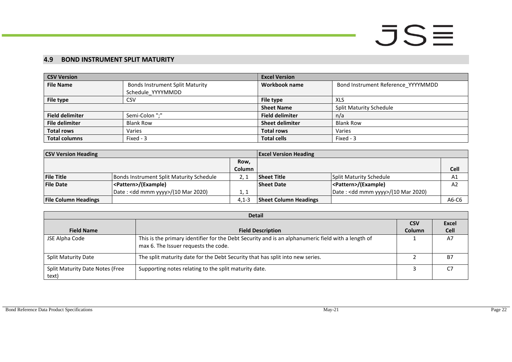#### **4.9 BOND INSTRUMENT SPLIT MATURITY**

| <b>CSV Version</b>     |                                        | <b>Excel Version</b>   |                                    |
|------------------------|----------------------------------------|------------------------|------------------------------------|
| <b>File Name</b>       | <b>Bonds Instrument Split Maturity</b> | Workbook name          | Bond Instrument Reference_YYYYMMDD |
|                        | Schedule YYYYMMDD                      |                        |                                    |
| File type              | <b>CSV</b>                             | File type              | XLS                                |
|                        |                                        | <b>Sheet Name</b>      | <b>Split Maturity Schedule</b>     |
| <b>Field delimiter</b> | Semi-Colon ";"                         | <b>Field delimiter</b> | n/a                                |
| <b>File delimiter</b>  | <b>Blank Row</b>                       | <b>Sheet delimiter</b> | <b>Blank Row</b>                   |
| <b>Total rows</b>      | Varies                                 | <b>Total rows</b>      | Varies                             |
| <b>Total columns</b>   | Fixed - 3                              | <b>Total cells</b>     | Fixed - 3                          |

| <b>CSV Version Heading</b>  |                                          |               | <b>Excel Version Heading</b> |                                    |       |
|-----------------------------|------------------------------------------|---------------|------------------------------|------------------------------------|-------|
|                             |                                          | Row,          |                              |                                    |       |
|                             |                                          | <b>Column</b> |                              |                                    | Cell  |
| <b>File Title</b>           | Bonds Instrument Split Maturity Schedule |               | <b>Sheet Title</b>           | Split Maturity Schedule            | A1    |
| <b>File Date</b>            | <pattern>/(Example)</pattern>            |               | <b>Sheet Date</b>            | <pattern>/(Example)</pattern>      | A2    |
|                             | Date: < dd mmm yyyy>/(10 Mar 2020)       | 1, 1          |                              | Date: < dd mmm yyyy>/(10 Mar 2020) |       |
| <b>File Column Headings</b> |                                          | $4.1 - 3$     | <b>Sheet Column Headings</b> |                                    | A6-C6 |

<span id="page-21-0"></span>

|                                          | <b>Detail</b>                                                                                                                              |               |              |
|------------------------------------------|--------------------------------------------------------------------------------------------------------------------------------------------|---------------|--------------|
|                                          |                                                                                                                                            | <b>CSV</b>    | <b>Excel</b> |
| <b>Field Name</b>                        | <b>Field Description</b>                                                                                                                   | <b>Column</b> | <b>Cell</b>  |
| JSE Alpha Code                           | This is the primary identifier for the Debt Security and is an alphanumeric field with a length of<br>max 6. The Issuer requests the code. |               | A7           |
| <b>Split Maturity Date</b>               | The split maturity date for the Debt Security that has split into new series.                                                              |               | <b>B7</b>    |
| Split Maturity Date Notes (Free<br>text) | Supporting notes relating to the split maturity date.                                                                                      |               |              |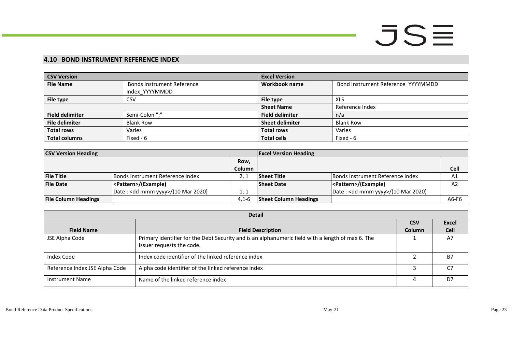#### **4.10 BOND INSTRUMENT REFERENCE INDEX**

| <b>CSV Version</b>     |                                   | <b>Excel Version</b>   |                                    |
|------------------------|-----------------------------------|------------------------|------------------------------------|
| <b>File Name</b>       | <b>Bonds Instrument Reference</b> | Workbook name          | Bond Instrument Reference_YYYYMMDD |
|                        | Index YYYYMMDD                    |                        |                                    |
| File type              | <b>CSV</b>                        | File type              | XLS                                |
|                        |                                   | <b>Sheet Name</b>      | Reference Index                    |
| <b>Field delimiter</b> | Semi-Colon ";"                    | <b>Field delimiter</b> | n/a                                |
| <b>File delimiter</b>  | <b>Blank Row</b>                  | <b>Sheet delimiter</b> | <b>Blank Row</b>                   |
| <b>Total rows</b>      | Varies                            | <b>Total rows</b>      | Varies                             |
| <b>Total columns</b>   | Fixed - 6                         | <b>Total cells</b>     | Fixed - 6                          |

| <b>CSV Version Heading</b>  |                                    | <b>Excel Version Heading</b> |                              |                                              |                |
|-----------------------------|------------------------------------|------------------------------|------------------------------|----------------------------------------------|----------------|
|                             |                                    | Row,                         |                              |                                              |                |
|                             |                                    | <b>Column</b>                |                              |                                              | Cell           |
| <b>File Title</b>           | Bonds Instrument Reference Index   |                              | <b>Sheet Title</b>           | Bonds Instrument Reference Index             | A <sub>1</sub> |
| <b>File Date</b>            | <pattern>/(Example)</pattern>      |                              | <b>Sheet Date</b>            | <pattern>/(Example)</pattern>                | A <sub>2</sub> |
|                             | Date: < dd mmm yyyy>/(10 Mar 2020) | 1, 1                         |                              | Date: <dd mmm="" yyyy="">/(10 Mar 2020)</dd> |                |
| <b>File Column Headings</b> |                                    | $4,1-6$                      | <b>Sheet Column Headings</b> |                                              | A6-F6          |

<span id="page-22-0"></span>

|                                | <b>Detail</b>                                                                                                                  |            |             |
|--------------------------------|--------------------------------------------------------------------------------------------------------------------------------|------------|-------------|
|                                |                                                                                                                                | <b>CSV</b> | Excel       |
| <b>Field Name</b>              | <b>Field Description</b>                                                                                                       | Column     | <b>Cell</b> |
| JSE Alpha Code                 | Primary identifier for the Debt Security and is an alphanumeric field with a length of max 6. The<br>Issuer requests the code. |            | A7          |
| Index Code                     | Index code identifier of the linked reference index                                                                            |            | <b>B7</b>   |
| Reference Index JSE Alpha Code | Alpha code identifier of the linked reference index                                                                            |            |             |
| <b>Instrument Name</b>         | Name of the linked reference index                                                                                             |            | D7          |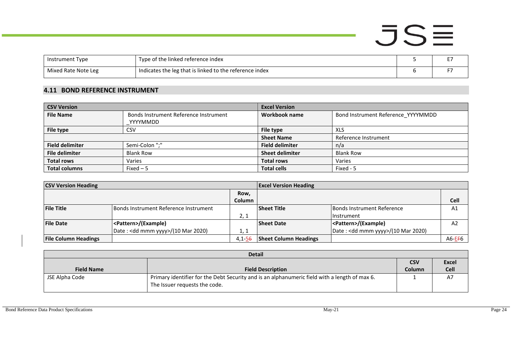|                     |                                                         |  | a martin |
|---------------------|---------------------------------------------------------|--|----------|
| Instrument Type     | Type of the linked reference index                      |  |          |
| Mixed Rate Note Leg | Indicates the leg that is linked to the reference index |  |          |

#### **4.11 BOND REFERENCE INSTRUMENT**

| <b>CSV Version</b>     |                                       | <b>Excel Version</b>   |                                    |
|------------------------|---------------------------------------|------------------------|------------------------------------|
| <b>File Name</b>       | Bonds Instrument Reference Instrument | Workbook name          | Bond Instrument Reference YYYYMMDD |
|                        | <b>YYYYMMDD</b>                       |                        |                                    |
| File type              | CSV                                   | File type              | XLS                                |
|                        |                                       | <b>Sheet Name</b>      | Reference Instrument               |
| <b>Field delimiter</b> | Semi-Colon ";"                        | <b>Field delimiter</b> | n/a                                |
| <b>File delimiter</b>  | <b>Blank Row</b>                      | <b>Sheet delimiter</b> | <b>Blank Row</b>                   |
| <b>Total rows</b>      | Varies                                | <b>Total rows</b>      | Varies                             |
| <b>Total columns</b>   | $Fixed-5$                             | <b>Total cells</b>     | Fixed - 5                          |

| <b>CSV Version Heading</b>  |                                       |               | <b>Excel Version Heading</b> |                                              |                     |
|-----------------------------|---------------------------------------|---------------|------------------------------|----------------------------------------------|---------------------|
|                             |                                       | Row,          |                              |                                              |                     |
|                             |                                       | <b>Column</b> |                              |                                              | Cell                |
| <b>File Title</b>           | Bonds Instrument Reference Instrument |               | <b>Sheet Title</b>           | <b>Bonds Instrument Reference</b>            | A1                  |
|                             |                                       | 2, 1          |                              | <b>Instrument</b>                            |                     |
| <b>File Date</b>            | <pattern>/(Example)</pattern>         |               | <b>Sheet Date</b>            | <pattern>/(Example)</pattern>                | A2                  |
|                             | Date: < dd mmm yyyy>/(10 Mar 2020)    | 1, 1          |                              | Date: <dd mmm="" yyyy="">/(10 Mar 2020)</dd> |                     |
| <b>File Column Headings</b> |                                       | $4,1 - 56$    | <b>Sheet Column Headings</b> |                                              | A6-E <del>F</del> 6 |

<span id="page-23-0"></span>

|                   | <b>Detail</b>                                                                                                                  |            |              |
|-------------------|--------------------------------------------------------------------------------------------------------------------------------|------------|--------------|
|                   |                                                                                                                                | <b>CSV</b> | <b>Excel</b> |
| <b>Field Name</b> | <b>Field Description</b>                                                                                                       | Column     | <b>Cell</b>  |
| JSE Alpha Code    | Primary identifier for the Debt Security and is an alphanumeric field with a length of max 6.<br>The Issuer requests the code. |            | A7           |

**Contract Contract Contract Contract**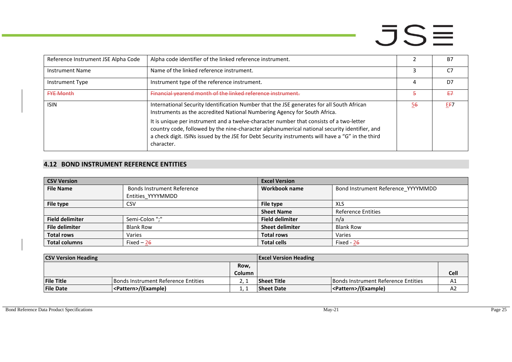| Reference Instrument JSE Alpha Code | Alpha code identifier of the linked reference instrument.                                                                                                                                                                                                                                                   |    | <b>B7</b> |
|-------------------------------------|-------------------------------------------------------------------------------------------------------------------------------------------------------------------------------------------------------------------------------------------------------------------------------------------------------------|----|-----------|
| <b>Instrument Name</b>              | Name of the linked reference instrument.                                                                                                                                                                                                                                                                    |    | C.7       |
| Instrument Type                     | Instrument type of the reference instrument.                                                                                                                                                                                                                                                                |    | D7        |
| <b>FYE Month</b>                    | Financial vearend month of the linked reference instrument.                                                                                                                                                                                                                                                 |    | £7        |
| <b>ISIN</b>                         | International Security Identification Number that the JSE generates for all South African<br>Instruments as the accredited National Numbering Agency for South Africa.                                                                                                                                      | 56 | EF7       |
|                                     | It is unique per instrument and a twelve-character number that consists of a two-letter<br>country code, followed by the nine-character alphanumerical national security identifier, and<br>a check digit. ISINs issued by the JSE for Debt Security instruments will have a "G" in the third<br>character. |    |           |

#### **4.12 BOND INSTRUMENT REFERENCE ENTITIES**

| <b>CSV Version</b>     |                                   | <b>Excel Version</b>   |                                    |
|------------------------|-----------------------------------|------------------------|------------------------------------|
| <b>File Name</b>       | <b>Bonds Instrument Reference</b> | Workbook name          | Bond Instrument Reference YYYYMMDD |
|                        | Entities YYYYMMDD                 |                        |                                    |
| File type              | <b>CSV</b>                        | File type              | XLS                                |
|                        |                                   | <b>Sheet Name</b>      | <b>Reference Entities</b>          |
| <b>Field delimiter</b> | Semi-Colon ";"                    | <b>Field delimiter</b> | n/a                                |
| <b>File delimiter</b>  | <b>Blank Row</b>                  | <b>Sheet delimiter</b> | <b>Blank Row</b>                   |
| <b>Total rows</b>      | Varies                            | <b>Total rows</b>      | Varies                             |
| <b>Total columns</b>   | Fixed $-26$                       | <b>Total cells</b>     | Fixed - $26$                       |

<span id="page-24-0"></span>

| <b>CSV Version Heading</b> |                                      | <b>Excel Version Heading</b> |                    |                                            |             |
|----------------------------|--------------------------------------|------------------------------|--------------------|--------------------------------------------|-------------|
|                            |                                      | Row,                         |                    |                                            |             |
|                            |                                      | Column                       |                    |                                            | <b>Cell</b> |
| <b>File Title</b>          | Bonds Instrument Reference Entities_ |                              | <b>Sheet Title</b> | <b>Bonds Instrument Reference Entities</b> | A1          |
| <b>File Date</b>           | <pattern>/(Example)</pattern>        |                              | <b>Sheet Date</b>  | <pattern>/(Example)</pattern>              | A2          |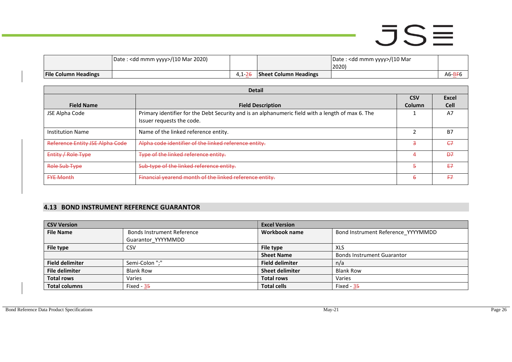|                             | □   Date : <dd mmm="" yyyy="">/(10 Mar 2020)</dd> |         |                              | Date : <dd mmm="" yyyy="">/(10 Mar<br/>2020)</dd> |             |
|-----------------------------|---------------------------------------------------|---------|------------------------------|---------------------------------------------------|-------------|
| <b>File Column Headings</b> |                                                   | 4,1 Z t | <b>Sheet Column Headings</b> |                                                   | $A6 - B F6$ |

| <b>Detail</b>                          |                                                                                                                                |            |                |  |
|----------------------------------------|--------------------------------------------------------------------------------------------------------------------------------|------------|----------------|--|
|                                        |                                                                                                                                | <b>CSV</b> | <b>Excel</b>   |  |
| <b>Field Name</b>                      | <b>Field Description</b>                                                                                                       | Column     | <b>Cell</b>    |  |
| JSE Alpha Code                         | Primary identifier for the Debt Security and is an alphanumeric field with a length of max 6. The<br>Issuer requests the code. |            | A7             |  |
| Institution Name                       | Name of the linked reference entity.                                                                                           |            | <b>B7</b>      |  |
| <b>Reference Entity JSE Alpha Code</b> | Alpha code identifier of the linked reference entity.                                                                          | 3          | CZ             |  |
| Entity / Role Type                     | Type of the linked reference entity.                                                                                           |            | $\overline{P}$ |  |
| Role Sub Type                          | Sub-type of the linked reference entity.                                                                                       | 5          | F7             |  |
| <b>FYE Month</b>                       | Financial yearend month of the linked reference entity.                                                                        | 6          | F7             |  |

#### **4.13 BOND INSTRUMENT REFERENCE GUARANTOR**

<span id="page-25-0"></span>

| <b>CSV Version</b>     |                                   | <b>Excel Version</b>   |                                    |  |  |
|------------------------|-----------------------------------|------------------------|------------------------------------|--|--|
| <b>File Name</b>       | <b>Bonds Instrument Reference</b> | Workbook name          | Bond Instrument Reference_YYYYMMDD |  |  |
|                        | Guarantor YYYYMMDD                |                        |                                    |  |  |
| File type              | CSV                               | File type              | XLS                                |  |  |
|                        |                                   | <b>Sheet Name</b>      | <b>Bonds Instrument Guarantor</b>  |  |  |
| <b>Field delimiter</b> | Semi-Colon ";"                    | <b>Field delimiter</b> | n/a                                |  |  |
| File delimiter         | <b>Blank Row</b>                  | <b>Sheet delimiter</b> | <b>Blank Row</b>                   |  |  |
| <b>Total rows</b>      | Varies                            | <b>Total rows</b>      | Varies                             |  |  |
| <b>Total columns</b>   | Fixed - $35$                      | <b>Total cells</b>     | Fixed - $35$                       |  |  |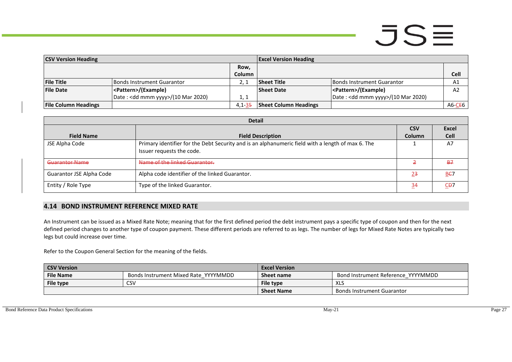| <b>CSV Version Heading</b>  |                                              | <b>Excel Version Heading</b> |                              |                                    |                     |
|-----------------------------|----------------------------------------------|------------------------------|------------------------------|------------------------------------|---------------------|
|                             |                                              | Row.                         |                              |                                    |                     |
|                             |                                              | Column                       |                              |                                    | Cell                |
| <b>File Title</b>           | Bonds Instrument Guarantor                   |                              | <b>Sheet Title</b>           | Bonds Instrument Guarantor         | A1                  |
| <b>File Date</b>            | <pattern>/(Example)</pattern>                |                              | <b>Sheet Date</b>            | <pattern>/(Example)</pattern>      | A <sub>2</sub>      |
|                             | Date: <dd mmm="" yyyy="">/(10 Mar 2020)</dd> | 1. 1                         |                              | Date: < dd mmm yyyy>/(10 Mar 2020) |                     |
| <b>File Column Headings</b> |                                              | $4.1 - 35$                   | <b>Sheet Column Headings</b> |                                    | A6-C <del>E</del> 6 |

| <b>Detail</b>                   |                                                                                                   |               |                |  |  |
|---------------------------------|---------------------------------------------------------------------------------------------------|---------------|----------------|--|--|
|                                 |                                                                                                   | <b>CSV</b>    | <b>Excel</b>   |  |  |
| <b>Field Name</b>               | <b>Field Description</b>                                                                          | <b>Column</b> | <b>Cell</b>    |  |  |
| JSE Alpha Code                  | Primary identifier for the Debt Security and is an alphanumeric field with a length of max 6. The |               | A7             |  |  |
|                                 | Issuer requests the code.                                                                         |               |                |  |  |
| Guarantor Name                  | Name of the linked Guarantor.                                                                     |               | B <sub>7</sub> |  |  |
| <b>Guarantor JSE Alpha Code</b> | Alpha code identifier of the linked Guarantor.                                                    | <u>23</u>     | B <sub>E</sub> |  |  |
| Entity / Role Type              | Type of the linked Guarantor.                                                                     | 34            | CP7            |  |  |

#### **4.14 BOND INSTRUMENT REFERENCE MIXED RATE**

An Instrument can be issued as a Mixed Rate Note; meaning that for the first defined period the debt instrument pays a specific type of coupon and then for the next defined period changes to another type of coupon payment. These different periods are referred to as legs. The number of legs for Mixed Rate Notes are typically two legs but could increase over time.

Refer to the Coupon General Section for the meaning of the fields.

<span id="page-26-0"></span>

| <b>CSV Version</b> |                                                    | <b>Excel Version</b> |                                    |  |
|--------------------|----------------------------------------------------|----------------------|------------------------------------|--|
| <b>File Name</b>   | Bonds Instrument Mixed Rate YYYYMMDD<br>Sheet name |                      | Bond Instrument Reference YYYYMMDD |  |
| File type          | <b>CSV</b>                                         | File type            | XLS                                |  |
|                    |                                                    | <b>Sheet Name</b>    | <b>Bonds Instrument Guarantor</b>  |  |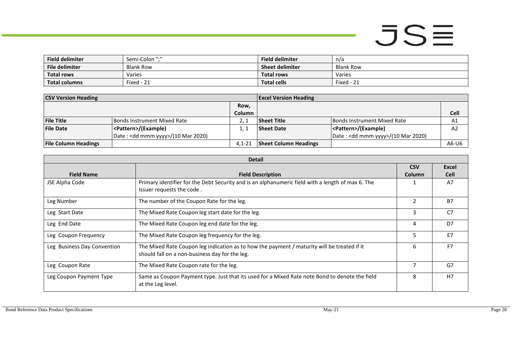- 1

| <b>Field delimiter</b> | Semi-Colon ":"   | <b>Field delimiter</b> | n/a        |
|------------------------|------------------|------------------------|------------|
| File delimiter         | <b>Blank Row</b> | <b>Sheet delimiter</b> | Blank Row  |
| <b>Total rows</b>      | Varies           | <b>Total rows</b>      | Varies     |
| <b>Total columns</b>   | Fixed - 21       | <b>Total cells</b>     | Fixed - 21 |

| <b>CSV Version Heading</b>  |                                              | <b>Excel Version Heading</b> |                              |                                              |                |
|-----------------------------|----------------------------------------------|------------------------------|------------------------------|----------------------------------------------|----------------|
|                             |                                              | Row,                         |                              |                                              |                |
|                             |                                              | Column                       |                              |                                              | <b>Cell</b>    |
| <b>File Title</b>           | Bonds Instrument Mixed Rate                  |                              | <b>Sheet Title</b>           | <b>IBonds Instrument Mixed Rate</b>          | A1             |
| <b>File Date</b>            | <pattern>/(Example)</pattern>                |                              | <b>Sheet Date</b>            | <pattern>/(Example)</pattern>                | A <sub>2</sub> |
|                             | Date: <dd mmm="" yyyy="">/(10 Mar 2020)</dd> |                              |                              | Date: <dd mmm="" yyyy="">/(10 Mar 2020)</dd> |                |
| <b>File Column Headings</b> |                                              | $4.1 - 21$                   | <b>Sheet Column Headings</b> |                                              | A6-U6          |

| <b>Detail</b>               |                                                                                                                                               |                             |                      |  |
|-----------------------------|-----------------------------------------------------------------------------------------------------------------------------------------------|-----------------------------|----------------------|--|
| <b>Field Name</b>           | <b>Field Description</b>                                                                                                                      | <b>CSV</b><br><b>Column</b> | Excel<br><b>Cell</b> |  |
| JSE Alpha Code              | Primary identifier for the Debt Security and is an alphanumeric field with a length of max 6. The<br>Issuer requests the code.                |                             | A7                   |  |
| Leg Number                  | The number of the Coupon Rate for the leg.                                                                                                    | $\mathcal{P}$               | <b>B7</b>            |  |
| Leg Start Date              | The Mixed Rate Coupon leg start date for the leg.                                                                                             | 3                           | C <sub>7</sub>       |  |
| Leg End Date                | The Mixed Rate Coupon leg end date for the leg.                                                                                               | 4                           | D7                   |  |
| Leg Coupon Frequency        | The Mixed Rate Coupon leg frequency for the leg.                                                                                              | 5                           | E7                   |  |
| Leg Business Day Convention | The Mixed Rate Coupon leg indication as to how the payment / maturity will be treated if it<br>should fall on a non-business day for the leg. | 6                           | F7                   |  |
| Leg Coupon Rate             | The Mixed Rate Coupon rate for the leg.                                                                                                       | 7                           | G7                   |  |
| Leg Coupon Payment Type     | Same as Coupon Payment type. Just that its used for a Mixed Rate note Bond to denote the field<br>at the Leg level.                           | 8                           | H7                   |  |